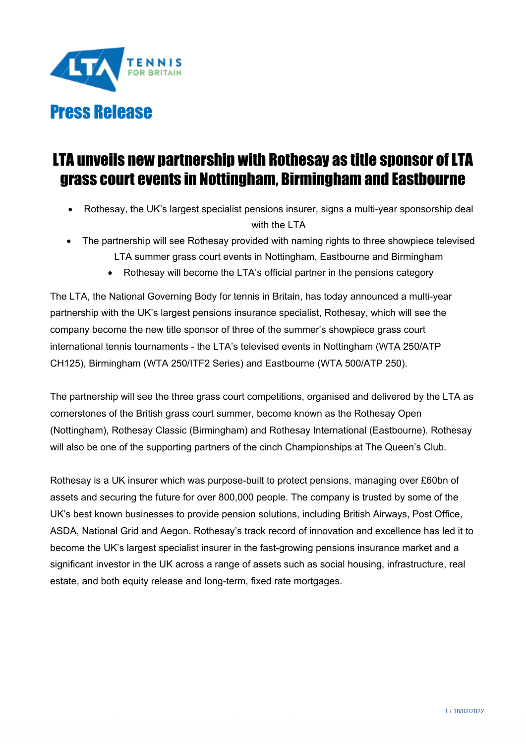

# LTA unveils new partnership with Rothesay as title sponsor of LTA grass court events in Nottingham, Birmingham and Eastbourne

- Rothesay, the UK's largest specialist pensions insurer, signs a multi-year sponsorship deal with the LTA
- The partnership will see Rothesay provided with naming rights to three showpiece televised LTA summer grass court events in Nottingham, Eastbourne and Birmingham
	- Rothesay will become the LTA's official partner in the pensions category

The LTA, the National Governing Body for tennis in Britain, has today announced a multi-year partnership with the UK's largest pensions insurance specialist, Rothesay, which will see the company become the new title sponsor of three of the summer's showpiece grass court international tennis tournaments - the LTA's televised events in Nottingham (WTA 250/ATP CH125), Birmingham (WTA 250/ITF2 Series) and Eastbourne (WTA 500/ATP 250).

The partnership will see the three grass court competitions, organised and delivered by the LTA as cornerstones of the British grass court summer, become known as the Rothesay Open (Nottingham), Rothesay Classic (Birmingham) and Rothesay International (Eastbourne). Rothesay will also be one of the supporting partners of the cinch Championships at The Queen's Club.

Rothesay is a UK insurer which was purpose-built to protect pensions, managing over £60bn of assets and securing the future for over 800,000 people. The company is trusted by some of the UK's best known businesses to provide pension solutions, including British Airways, Post Office, ASDA, National Grid and Aegon. Rothesay's track record of innovation and excellence has led it to become the UK's largest specialist insurer in the fast-growing pensions insurance market and a significant investor in the UK across a range of assets such as social housing, infrastructure, real estate, and both equity release and long-term, fixed rate mortgages.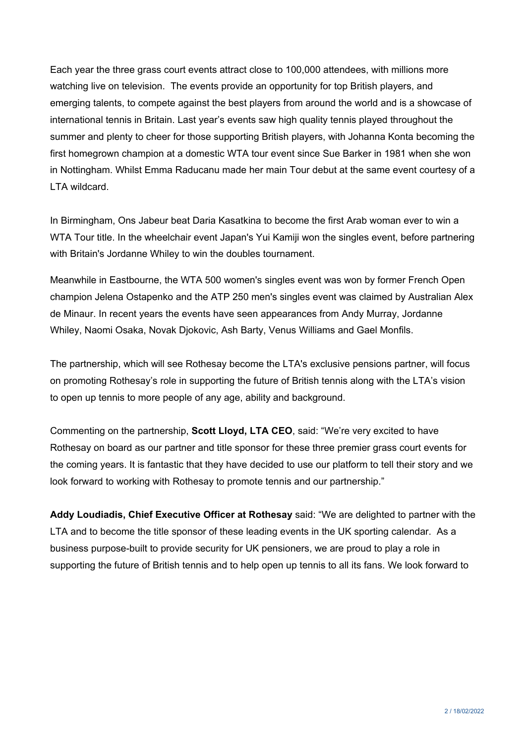Each year the three grass court events attract close to 100,000 attendees, with millions more watching live on television. The events provide an opportunity for top British players, and emerging talents, to compete against the best players from around the world and is a showcase of international tennis in Britain. Last year's events saw high quality tennis played throughout the summer and plenty to cheer for those supporting British players, with Johanna Konta becoming the first homegrown champion at a domestic WTA tour event since Sue Barker in 1981 when she won in Nottingham. Whilst Emma Raducanu made her main Tour debut at the same event courtesy of a LTA wildcard.

In Birmingham, Ons Jabeur beat Daria Kasatkina to become the first Arab woman ever to win a WTA Tour title. In the wheelchair event Japan's Yui Kamiji won the singles event, before partnering with Britain's Jordanne Whiley to win the doubles tournament.

Meanwhile in Eastbourne, the WTA 500 women's singles event was won by former French Open champion Jelena Ostapenko and the ATP 250 men's singles event was claimed by Australian Alex de Minaur. In recent years the events have seen appearances from Andy Murray, Jordanne Whiley, Naomi Osaka, Novak Djokovic, Ash Barty, Venus Williams and Gael Monfils.

The partnership, which will see Rothesay become the LTA's exclusive pensions partner, will focus on promoting Rothesay's role in supporting the future of British tennis along with the LTA's vision to open up tennis to more people of any age, ability and background.

Commenting on the partnership, **Scott Lloyd, LTA CEO**, said: "We're very excited to have Rothesay on board as our partner and title sponsor for these three premier grass court events for the coming years. It is fantastic that they have decided to use our platform to tell their story and we look forward to working with Rothesay to promote tennis and our partnership."

**Addy Loudiadis, Chief Executive Officer at Rothesay** said: "We are delighted to partner with the LTA and to become the title sponsor of these leading events in the UK sporting calendar. As a business purpose-built to provide security for UK pensioners, we are proud to play a role in supporting the future of British tennis and to help open up tennis to all its fans. We look forward to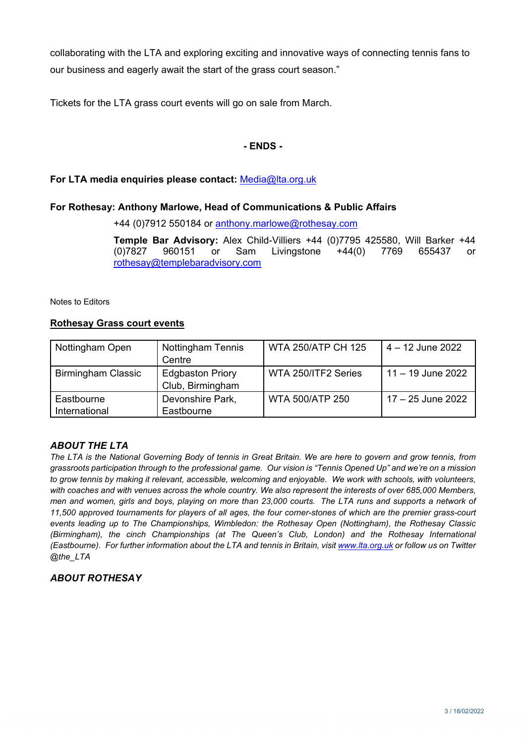collaborating with the LTA and exploring exciting and innovative ways of connecting tennis fans to our business and eagerly await the start of the grass court season."

Tickets for the LTA grass court events will go on sale from March.

## **- ENDS -**

### **For LTA media enquiries please contact:** [Media@lta.org.uk](mailto:Media@lta.org.uk)

### **For Rothesay: Anthony Marlowe, Head of Communications & Public Affairs**

+44 (0)7912 550184 or [anthony.marlowe@rothesay.com](mailto:anthony.marlowe@rothesay.com) 

**Temple Bar Advisory:** Alex Child-Villiers +44 (0)7795 425580, Will Barker +44 (0)7827 960151 or Sam Livingstone +44(0) 7769 655437 or [rothesay@templebaradvisory.com](mailto:rothesay@templebaradvisory.com)

Notes to Editors

#### **Rothesay Grass court events**

| Nottingham Open             | <b>Nottingham Tennis</b><br>Centre          | WTA 250/ATP CH 125     | $4 - 12$ June 2022  |
|-----------------------------|---------------------------------------------|------------------------|---------------------|
| <b>Birmingham Classic</b>   | <b>Edgbaston Priory</b><br>Club, Birmingham | WTA 250/ITF2 Series    | $11 - 19$ June 2022 |
| Eastbourne<br>International | Devonshire Park,<br>Eastbourne              | <b>WTA 500/ATP 250</b> | 17 – 25 June 2022   |

### *ABOUT THE LTA*

*The LTA is the National Governing Body of tennis in Great Britain. We are here to govern and grow tennis, from grassroots participation through to the professional game. Our vision is "Tennis Opened Up" and we're on a mission to grow tennis by making it relevant, accessible, welcoming and enjoyable. We work with schools, with volunteers, with coaches and with venues across the whole country. We also represent the interests of over 685,000 Members, men and women, girls and boys, playing on more than 23,000 courts. The LTA runs and supports a network of 11,500 approved tournaments for players of all ages, the four corner-stones of which are the premier grass-court events leading up to The Championships, Wimbledon: the Rothesay Open (Nottingham), the Rothesay Classic (Birmingham), the cinch Championships (at The Queen's Club, London) and the Rothesay International (Eastbourne). For further information about the LTA and tennis in Britain, visi[t www.lta.org.uk](http://www.lta.org.uk/) or follow us on Twitter @the\_LTA*

### *ABOUT ROTHESAY*